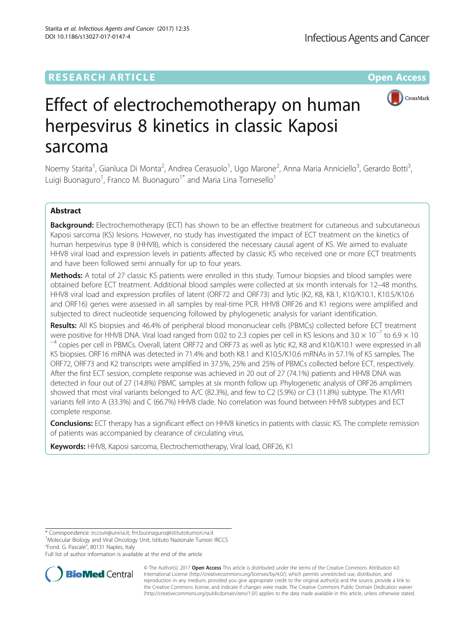## **RESEARCH ARTICLE Example 2014 12:30 The Contract of Contract Article 2014**



# Effect of electrochemotherapy on human herpesvirus 8 kinetics in classic Kaposi sarcoma

Noemy Starita<sup>1</sup>, Gianluca Di Monta<sup>2</sup>, Andrea Cerasuolo<sup>1</sup>, Ugo Marone<sup>2</sup>, Anna Maria Anniciello<sup>3</sup>, Gerardo Botti<sup>3</sup> , Luigi Buonaguro<sup>1</sup>, Franco M. Buonaguro<sup>1\*</sup> and Maria Lina Tornesello<sup>1</sup>

## Abstract

Background: Electrochemotherapy (ECT) has shown to be an effective treatment for cutaneous and subcutaneous Kaposi sarcoma (KS) lesions. However, no study has investigated the impact of ECT treatment on the kinetics of human herpesvirus type 8 (HHV8), which is considered the necessary causal agent of KS. We aimed to evaluate HHV8 viral load and expression levels in patients affected by classic KS who received one or more ECT treatments and have been followed semi annually for up to four years.

Methods: A total of 27 classic KS patients were enrolled in this study. Tumour biopsies and blood samples were obtained before ECT treatment. Additional blood samples were collected at six month intervals for 12–48 months. HHV8 viral load and expression profiles of latent (ORF72 and ORF73) and lytic (K2, K8, K8.1, K10/K10.1, K10.5/K10.6 and ORF16) genes were assessed in all samples by real-time PCR. HHV8 ORF26 and K1 regions were amplified and subjected to direct nucleotide sequencing followed by phylogenetic analysis for variant identification.

Results: All KS biopsies and 46.4% of peripheral blood mononuclear cells (PBMCs) collected before ECT treatment were positive for HHV8 DNA. Viral load ranged from 0.02 to 2.3 copies per cell in KS lesions and  $3.0 \times 10^{-7}$  to 6.9  $\times$  10<sup>-4</sup> copies per cell in PBMCs. Overall, latent ORF72 and ORF73 as well as lytic K2, K8 and K10/K KS biopsies. ORF16 mRNA was detected in 71.4% and both K8.1 and K10.5/K10.6 mRNAs in 57.1% of KS samples. The ORF72, ORF73 and K2 transcripts were amplified in 37.5%, 25% and 25% of PBMCs collected before ECT, respectively. After the first ECT session, complete response was achieved in 20 out of 27 (74.1%) patients and HHV8 DNA was detected in four out of 27 (14.8%) PBMC samples at six month follow up. Phylogenetic analysis of ORF26 amplimers showed that most viral variants belonged to A/C (82.3%), and few to C2 (5.9%) or C3 (11.8%) subtype. The K1/VR1 variants fell into A (33.3%) and C (66.7%) HHV8 clade. No correlation was found between HHV8 subtypes and ECT complete response.

**Conclusions:** ECT therapy has a significant effect on HHV8 kinetics in patients with classic KS. The complete remission of patients was accompanied by clearance of circulating virus.

Keywords: HHV8, Kaposi sarcoma, Electrochemotherapy, Viral load, ORF26, K1

<sup>1</sup>Molecular Biology and Viral Oncology Unit, Istituto Nazionale Tumori IRCCS "Fond. G. Pascale", 80131 Naples, Italy

Full list of author information is available at the end of the article



© The Author(s). 2017 **Open Access** This article is distributed under the terms of the Creative Commons Attribution 4.0 International License [\(http://creativecommons.org/licenses/by/4.0/](http://creativecommons.org/licenses/by/4.0/)), which permits unrestricted use, distribution, and reproduction in any medium, provided you give appropriate credit to the original author(s) and the source, provide a link to the Creative Commons license, and indicate if changes were made. The Creative Commons Public Domain Dedication waiver [\(http://creativecommons.org/publicdomain/zero/1.0/](http://creativecommons.org/publicdomain/zero/1.0/)) applies to the data made available in this article, unless otherwise stated.

<sup>\*</sup> Correspondence: [irccsvir@unina.it;](mailto:irccsvir@unina.it) [fm.buonaguro@istitutotumori.na.it](mailto:fm.buonaguro@istitutotumori.na.it) <sup>1</sup>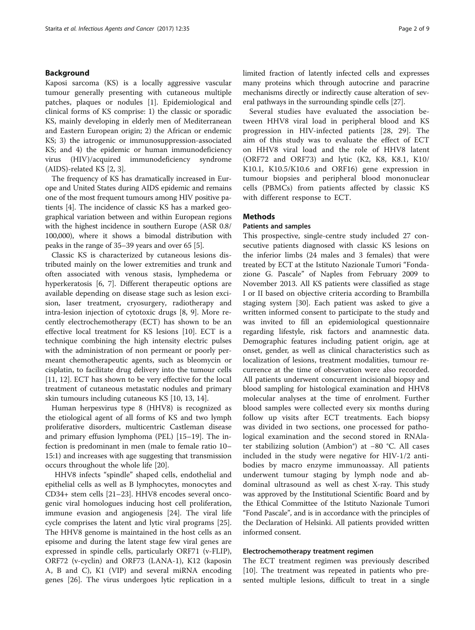## Background

Kaposi sarcoma (KS) is a locally aggressive vascular tumour generally presenting with cutaneous multiple patches, plaques or nodules [\[1](#page-7-0)]. Epidemiological and clinical forms of KS comprise: 1) the classic or sporadic KS, mainly developing in elderly men of Mediterranean and Eastern European origin; 2) the African or endemic KS; 3) the iatrogenic or immunosuppression-associated KS; and 4) the epidemic or human immunodeficiency virus (HIV)/acquired immunodeficiency syndrome (AIDS)-related KS [\[2](#page-7-0), [3](#page-7-0)].

The frequency of KS has dramatically increased in Europe and United States during AIDS epidemic and remains one of the most frequent tumours among HIV positive patients [\[4](#page-7-0)]. The incidence of classic KS has a marked geographical variation between and within European regions with the highest incidence in southern Europe (ASR 0.8/ 100,000), where it shows a bimodal distribution with peaks in the range of 35–39 years and over 65 [\[5\]](#page-7-0).

Classic KS is characterized by cutaneous lesions distributed mainly on the lower extremities and trunk and often associated with venous stasis, lymphedema or hyperkeratosis [[6](#page-7-0), [7](#page-7-0)]. Different therapeutic options are available depending on disease stage such as lesion excision, laser treatment, cryosurgery, radiotherapy and intra-lesion injection of cytotoxic drugs [\[8](#page-7-0), [9\]](#page-7-0). More recently electrochemotherapy (ECT) has shown to be an effective local treatment for KS lesions [[10](#page-7-0)]. ECT is a technique combining the high intensity electric pulses with the administration of non permeant or poorly permeant chemotherapeutic agents, such as bleomycin or cisplatin, to facilitate drug delivery into the tumour cells [[11, 12\]](#page-7-0). ECT has shown to be very effective for the local treatment of cutaneous metastatic nodules and primary skin tumours including cutaneous KS [[10, 13, 14](#page-7-0)].

Human herpesvirus type 8 (HHV8) is recognized as the etiological agent of all forms of KS and two lymph proliferative disorders, multicentric Castleman disease and primary effusion lymphoma (PEL) [\[15](#page-7-0)–[19\]](#page-7-0). The infection is predominant in men (male to female ratio 10– 15:1) and increases with age suggesting that transmission occurs throughout the whole life [[20\]](#page-7-0).

HHV8 infects "spindle" shaped cells, endothelial and epithelial cells as well as B lymphocytes, monocytes and CD34+ stem cells [[21](#page-7-0)–[23\]](#page-8-0). HHV8 encodes several oncogenic viral homologues inducing host cell proliferation, immune evasion and angiogenesis [[24](#page-8-0)]. The viral life cycle comprises the latent and lytic viral programs [\[25](#page-8-0)]. The HHV8 genome is maintained in the host cells as an episome and during the latent stage few viral genes are expressed in spindle cells, particularly ORF71 (v-FLIP), ORF72 (v-cyclin) and ORF73 (LANA-1), K12 (kaposin A, B and C), K1 (VIP) and several miRNA encoding genes [[26\]](#page-8-0). The virus undergoes lytic replication in a limited fraction of latently infected cells and expresses many proteins which through autocrine and paracrine mechanisms directly or indirectly cause alteration of several pathways in the surrounding spindle cells [\[27\]](#page-8-0).

Several studies have evaluated the association between HHV8 viral load in peripheral blood and KS progression in HIV-infected patients [\[28](#page-8-0), [29\]](#page-8-0). The aim of this study was to evaluate the effect of ECT on HHV8 viral load and the role of HHV8 latent (ORF72 and ORF73) and lytic (K2, K8, K8.1, K10/ K10.1, K10.5/K10.6 and ORF16) gene expression in tumour biopsies and peripheral blood mononuclear cells (PBMCs) from patients affected by classic KS with different response to ECT.

### **Methods**

### Patients and samples

This prospective, single-centre study included 27 consecutive patients diagnosed with classic KS lesions on the inferior limbs (24 males and 3 females) that were treated by ECT at the Istituto Nazionale Tumori "Fondazione G. Pascale" of Naples from February 2009 to November 2013. All KS patients were classified as stage I or II based on objective criteria according to Brambilla staging system [\[30\]](#page-8-0). Each patient was asked to give a written informed consent to participate to the study and was invited to fill an epidemiological questionnaire regarding lifestyle, risk factors and anamnestic data. Demographic features including patient origin, age at onset, gender, as well as clinical characteristics such as localization of lesions, treatment modalities, tumour recurrence at the time of observation were also recorded. All patients underwent concurrent incisional biopsy and blood sampling for histological examination and HHV8 molecular analyses at the time of enrolment. Further blood samples were collected every six months during follow up visits after ECT treatments. Each biopsy was divided in two sections, one processed for pathological examination and the second stored in RNAlater stabilizing solution (Ambion®) at −80 °C. All cases included in the study were negative for HIV-1/2 antibodies by macro enzyme immunoassay. All patients underwent tumour staging by lymph node and abdominal ultrasound as well as chest X-ray. This study was approved by the Institutional Scientific Board and by the Ethical Committee of the Istituto Nazionale Tumori "Fond Pascale", and is in accordance with the principles of the Declaration of Helsinki. All patients provided written informed consent.

#### Electrochemotherapy treatment regimen

The ECT treatment regimen was previously described [[10\]](#page-7-0). The treatment was repeated in patients who presented multiple lesions, difficult to treat in a single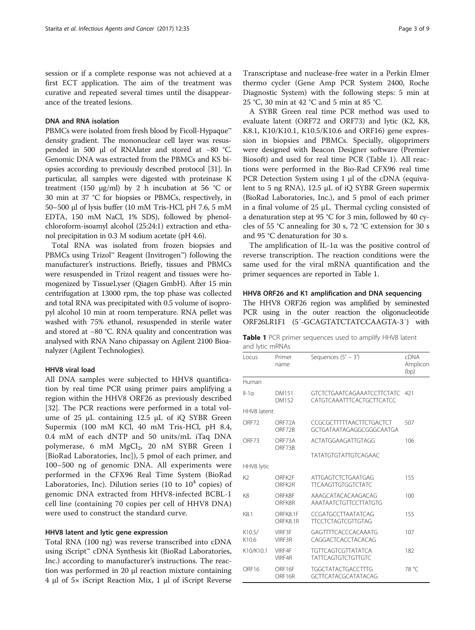session or if a complete response was not achieved at a first ECT application. The aim of the treatment was curative and repeated several times until the disappearance of the treated lesions.

## DNA and RNA isolation

PBMCs were isolated from fresh blood by Ficoll-Hypaque™ density gradient. The mononuclear cell layer was resuspended in 500 μl of RNAlater and stored at −80 °C. Genomic DNA was extracted from the PBMCs and KS biopsies according to previously described protocol [[31](#page-8-0)]. In particular, all samples were digested with proteinase K treatment (150 μg/ml) by 2 h incubation at 56 °C or 30 min at 37 °C for biopsies or PBMCs, respectively, in 50–500 μl of lysis buffer (10 mM Tris-HCl, pH 7.6, 5 mM EDTA, 150 mM NaCl, 1% SDS), followed by phenolchloroform-isoamyl alcohol (25:24:1) extraction and ethanol precipitation in 0.3 M sodium acetate (pH 4.6).

Total RNA was isolated from frozen biopsies and PBMCs using Trizol™ Reagent (Invitrogen™) following the manufacturer's instructions. Briefly, tissues and PBMCs were resuspended in Trizol reagent and tissues were homogenized by TissueLyser (Qiagen GmbH). After 15 min centrifugation at 13000 rpm, the top phase was collected and total RNA was precipitated with 0.5 volume of isopropyl alcohol 10 min at room temperature. RNA pellet was washed with 75% ethanol, resuspended in sterile water and stored at −80 °C. RNA quality and concentration was analysed with RNA Nano chipassay on Agilent 2100 Bioanalyzer (Agilent Technologies).

### HHV8 viral load

All DNA samples were subjected to HHV8 quantification by real time PCR using primer pairs amplifying a region within the HHV8 ORF26 as previously described [[32\]](#page-8-0). The PCR reactions were performed in a total volume of 25 μL containing 12.5 μL of iQ SYBR Green Supermix (100 mM KCl, 40 mM Tris-HCl, pH 8.4, 0.4 mM of each dNTP and 50 units/mL iTaq DNA polymerase, 6 mM MgCl<sub>2</sub>, 20 nM SYBR Green I [BioRad Laboratories, Inc]), 5 pmol of each primer, and 100–500 ng of genomic DNA. All experiments were performed in the CFX96 Real Time System (BioRad Laboratories, Inc). Dilution series (10 to  $10^4$  copies) of genomic DNA extracted from HHV8-infected BCBL-1 cell line (containing 70 copies per cell of HHV8 DNA) were used to construct the standard curve.

#### HHV8 latent and lytic gene expression

Total RNA (100 ng) was reverse transcribed into cDNA using iScript™ cDNA Synthesis kit (BioRad Laboratories, Inc.) according to manufacturer's instructions. The reaction was performed in 20 μl reaction mixture containing 4 μl of 5× iScript Reaction Mix, 1 μl of iScript Reverse

A SYBR Green real time PCR method was used to evaluate latent (ORF72 and ORF73) and lytic (K2, K8, K8.1, K10/K10.1, K10.5/K10.6 and ORF16) gene expression in biopsies and PBMCs. Specially, oligoprimers were designed with Beacon Designer software (Premier Biosoft) and used for real time PCR (Table 1). All reactions were performed in the Bio-Rad CFX96 real time PCR Detection System using 1 μl of the cDNA (equivalent to 5 ng RNA), 12.5 μL of iQ SYBR Green supermix (BioRad Laboratories, Inc.), and 5 pmol of each primer in a final volume of 25 μL. Thermal cycling consisted of a denaturation step at 95 °C for 3 min, followed by 40 cycles of 55 °C annealing for 30 s, 72 °C extension for 30 s and 95 °C denaturation for 30 s.

The amplification of IL-1 $\alpha$  was the positive control of reverse transcription. The reaction conditions were the same used for the viral mRNA quantification and the primer sequences are reported in Table 1.

HHV8 ORF26 and K1 amplification and DNA sequencing The HHV8 ORF26 region was amplified by seminested PCR using in the outer reaction the oligonucleotide ORF26LR1F1 (5′-GCAGTATCTATCCAAGTA-3′) with

|                 |  | Table 1 PCR primer sequences used to amplify HHV8 latent |  |  |  |
|-----------------|--|----------------------------------------------------------|--|--|--|
| and lytic mRNAs |  |                                                          |  |  |  |

| Locus             | Primer<br>name       | Sequences $(5' - 3')$                                          | <b>cDNA</b><br>Amplicon<br>(bp) |  |  |  |
|-------------------|----------------------|----------------------------------------------------------------|---------------------------------|--|--|--|
| Human             |                      |                                                                |                                 |  |  |  |
| $II-1a$           | DM151<br>DM152       | <b>GTCTCTGAATCAGAAATCCTTCTATC</b><br>CATGTCAAATTTCACTGCTTCATCC | 421                             |  |  |  |
| HHV8 latent       |                      |                                                                |                                 |  |  |  |
| ORF72             | ORF72A<br>ORF72B     | CCGCGCTTTTTAACTTCTGACTCT<br>GCTGATAATAGAGGCGGGCAATGA           | 507                             |  |  |  |
| ORF <sub>73</sub> | ORF73A               | ACTATGGAAGATTGTAGG                                             | 106                             |  |  |  |
|                   | ORF73B               | <b>TATATGTGTATTGTCAGAAC</b>                                    |                                 |  |  |  |
| HHV8 lytic        |                      |                                                                |                                 |  |  |  |
| K <sub>2</sub>    | ORFK2F<br>ORFK2R     | <b>ATTGAGTCTCTGAATGAG</b><br><b>TTCAAGTTGTGGTCTATC</b>         | 155                             |  |  |  |
| K8                | ORFK8F<br>ORFK8R     | AAAGCATACACAAGACAG<br>AAATAATCTGTTCCTTATGTG                    | 100                             |  |  |  |
| K8.1              | ORFK8.1F<br>ORFK8.1R | CCGATGCCTTAATATCAG<br><b>TTCCTCTAGTCGTTGTAG</b>                | 155                             |  |  |  |
| K10.5/<br>K10.6   | VIRE3F<br>VIRF3R     | GAGTTTTCACCCACAAATG<br>CAGGACTCACCTACACAG                      | 107                             |  |  |  |
| K10/K10.1         | VIRF4F<br>VIRF4R     | <b>TGTTCAGTCGTTATATCA</b><br><b>TATTCAGTGTCTGTTGTC</b>         | 182                             |  |  |  |
| ORF <sub>16</sub> | ORF16F<br>ORF16R     | <b>TGGCTATACTGACCTTTG</b><br>GCTTCATACGCATATACAG               | 78 °C                           |  |  |  |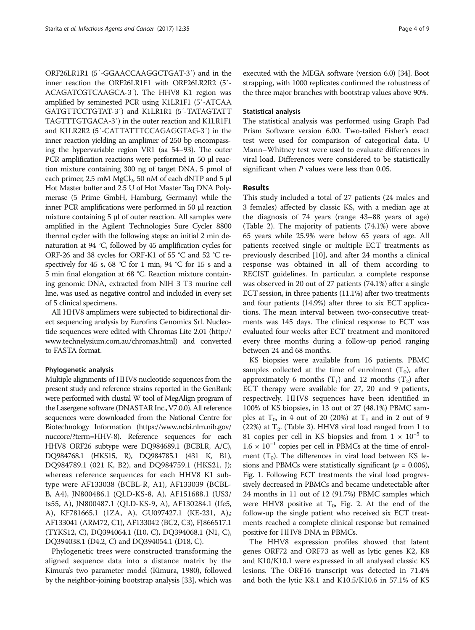ORF26LR1R1 (5′-GGAACCAAGGCTGAT-3′) and in the inner reaction the ORF26LR1F1 with ORF26LR2R2 (5′- ACAGATCGTCAAGCA-3′). The HHV8 K1 region was amplified by seminested PCR using K1LR1F1 (5′-ATCAA GATGTTCCTGTAT-3′) and K1LR1R1 (5′-TATAGTATT TAGTTTGTGACA-3′) in the outer reaction and K1LR1F1 and K1LR2R2 (5′-CATTATTTCCAGAGGTAG-3′) in the inner reaction yielding an amplimer of 250 bp encompassing the hypervariable region VR1 (aa 54–93). The outer PCR amplification reactions were performed in 50 μl reaction mixture containing 300 ng of target DNA, 5 pmol of each primer,  $2.5 \text{ mM } MgCl<sub>2</sub>$ ,  $50 \text{ nM }$  of each dNTP and  $5 \text{ µl}$ Hot Master buffer and 2.5 U of Hot Master Taq DNA Polymerase (5 Prime GmbH, Hamburg, Germany) while the inner PCR amplifications were performed in 50 μl reaction mixture containing 5 μl of outer reaction. All samples were amplified in the Agilent Technologies Sure Cycler 8800 thermal cycler with the following steps: an initial 2 min denaturation at 94 °C, followed by 45 amplification cycles for ORF-26 and 38 cycles for ORF-K1 of 55 °C and 52 °C respectively for 45 s, 68 °C for 1 min, 94 °C for 15 s and a 5 min final elongation at 68 °C. Reaction mixture containing genomic DNA, extracted from NIH 3 T3 murine cell line, was used as negative control and included in every set of 5 clinical specimens.

All HHV8 amplimers were subjected to bidirectional direct sequencing analysis by Eurofins Genomics Srl. Nucleotide sequences were edited with Chromas Lite 2.01 [\(http://](http://www.technelysium.com.au/chromas.html) [www.technelysium.com.au/chromas.html\)](http://www.technelysium.com.au/chromas.html) and converted to FASTA format.

#### Phylogenetic analysis

Multiple alignments of HHV8 nucleotide sequences from the present study and reference strains reported in the GenBank were performed with clustal W tool of MegAlign program of the Lasergene software (DNASTAR Inc.,V7.0.0). All reference sequences were downloaded from the National Centre for Biotechnology Information [\(https://www.ncbi.nlm.nih.gov/](https://www.ncbi.nlm.nih.gov/nuccore/?term=HHV-8) [nuccore/?term=HHV-8\)](https://www.ncbi.nlm.nih.gov/nuccore/?term=HHV-8). Reference sequences for each HHV8 ORF26 subtype were DQ984689.1 (BCBLR, A/C), DQ984768.1 (HKS15, R), DQ984785.1 (431 K, B1), DQ984789.1 (021 K, B2), and DQ984759.1 (HKS21, J); whereas reference sequences for each HHV8 K1 subtype were AF133038 (BCBL-R, A1), AF133039 (BCBL-B, A4), JN800486.1 (QLD-KS-8, A), AF151688.1 (US3/ ts55, A), JN800487.1 (QLD-KS-9, A), AF130284.1 (Ife5, A), KF781665.1 (1ZA, A), GU097427.1 (KE-231, A),; AF133041 (ARM72, C1), AF133042 (BC2, C3), FJ866517.1 (TYKS12, C), DQ394064.1 (I10, C), DQ394068.1 (N1, C), DQ394038.1 (D4.2, C) and DQ394054.1 (D18, C).

Phylogenetic trees were constructed transforming the aligned sequence data into a distance matrix by the Kimura's two parameter model (Kimura, 1980), followed by the neighbor-joining bootstrap analysis [\[33\]](#page-8-0), which was executed with the MEGA software (version 6.0) [\[34\]](#page-8-0). Boot strapping, with 1000 replicates confirmed the robustness of the three major branches with bootstrap values above 90%.

## Statistical analysis

The statistical analysis was performed using Graph Pad Prism Software version 6.00. Two-tailed Fisher's exact test were used for comparison of categorical data. U Mann–Whitney test were used to evaluate differences in viral load. Differences were considered to be statistically significant when  $P$  values were less than 0.05.

#### Results

This study included a total of 27 patients (24 males and 3 females) affected by classic KS, with a median age at the diagnosis of 74 years (range 43–88 years of age) (Table [2](#page-4-0)). The majority of patients (74.1%) were above 65 years while 25.9% were below 65 years of age. All patients received single or multiple ECT treatments as previously described [\[10](#page-7-0)], and after 24 months a clinical response was obtained in all of them according to RECIST guidelines. In particular, a complete response was observed in 20 out of 27 patients (74.1%) after a single ECT session, in three patients (11.1%) after two treatments and four patients (14.9%) after three to six ECT applications. The mean interval between two-consecutive treatments was 145 days. The clinical response to ECT was evaluated four weeks after ECT treatment and monitored every three months during a follow-up period ranging between 24 and 68 months.

KS biopsies were available from 16 patients. PBMC samples collected at the time of enrolment  $(T_0)$ , after approximately 6 months  $(T_1)$  and 12 months  $(T_2)$  after ECT therapy were available for 27, 20 and 9 patients, respectively. HHV8 sequences have been identified in 100% of KS biopsies, in 13 out of 27 (48.1%) PBMC samples at  $T_0$ , in 4 out of 20 (20%) at  $T_1$  and in 2 out of 9 (22%) at  $T_2$ . (Table [3\)](#page-5-0). HHV8 viral load ranged from 1 to 81 copies per cell in KS biopsies and from  $1 \times 10^{-5}$  to  $1.6 \times 10^{-1}$  copies per cell in PBMCs at the time of enrolment  $(T_0)$ . The differences in viral load between KS lesions and PBMCs were statistically significant ( $p = 0.006$ ), Fig. [1.](#page-5-0) Following ECT treatments the viral load progressively decreased in PBMCs and became undetectable after 24 months in 11 out of 12 (91.7%) PBMC samples which were HHV8 positive at  $T_0$ , Fig. [2.](#page-5-0) At the end of the follow-up the single patient who received six ECT treatments reached a complete clinical response but remained positive for HHV8 DNA in PBMCs.

The HHV8 expression profiles showed that latent genes ORF72 and ORF73 as well as lytic genes K2, K8 and K10/K10.1 were expressed in all analysed classic KS lesions. The ORF16 transcript was detected in 71.4% and both the lytic K8.1 and K10.5/K10.6 in 57.1% of KS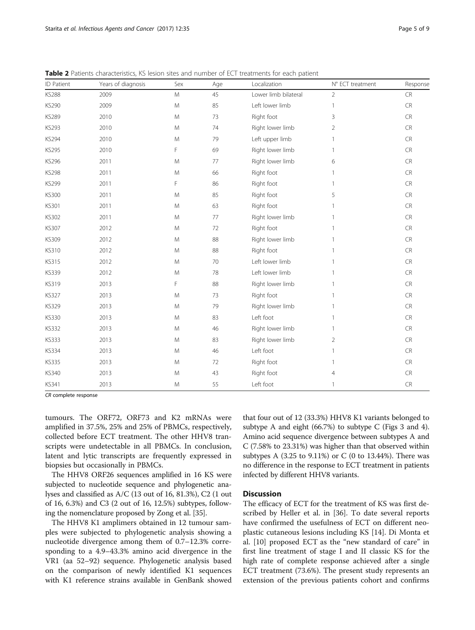| ID Patient   | Years of diagnosis | Sex       | Age | Localization         | N° ECT treatment | Response   |
|--------------|--------------------|-----------|-----|----------------------|------------------|------------|
| <b>KS288</b> | 2009               | ${\sf M}$ | 45  | Lower limb bilateral | $\overline{2}$   | ${\sf CR}$ |
| KS290        | 2009               | M         | 85  | Left lower limb      | $\overline{1}$   | ${\sf CR}$ |
| <b>KS289</b> | 2010               | M         | 73  | Right foot           | $\overline{3}$   | <b>CR</b>  |
| KS293        | 2010               | M         | 74  | Right lower limb     | $\overline{2}$   | CR         |
| KS294        | 2010               | M         | 79  | Left upper limb      | $\mathbf{1}$     | CR         |
| KS295        | 2010               | F         | 69  | Right lower limb     | 1                | CR         |
| KS296        | 2011               | M         | 77  | Right lower limb     | 6                | <b>CR</b>  |
| <b>KS298</b> | 2011               | M         | 66  | Right foot           | 1                | CR         |
| KS299        | 2011               | F         | 86  | Right foot           | $\mathbf{1}$     | CR         |
| <b>KS300</b> | 2011               | M         | 85  | Right foot           | 5                | CR         |
| KS301        | 2011               | M         | 63  | Right foot           | 1                | CR         |
| KS302        | 2011               | M         | 77  | Right lower limb     | -1               | ${\sf CR}$ |
| <b>KS307</b> | 2012               | M         | 72  | Right foot           | 1                | CR         |
| KS309        | 2012               | M         | 88  | Right lower limb     | 1                | ${\sf CR}$ |
| <b>KS310</b> | 2012               | M         | 88  | Right foot           | 1                | CR         |
| <b>KS315</b> | 2012               | M         | 70  | Left lower limb      | $\overline{1}$   | CR         |
| KS339        | 2012               | M         | 78  | Left lower limb      | 1                | CR         |
| KS319        | 2013               | F         | 88  | Right lower limb     | 1                | ${\sf CR}$ |
| <b>KS327</b> | 2013               | M         | 73  | Right foot           | $\overline{1}$   | CR         |
| KS329        | 2013               | M         | 79  | Right lower limb     | $\mathbf{1}$     | CR         |
| <b>KS330</b> | 2013               | M         | 83  | Left foot            | 1                | CR         |
| <b>KS332</b> | 2013               | M         | 46  | Right lower limb     | $\mathbf{1}$     | CR         |
| <b>KS333</b> | 2013               | M         | 83  | Right lower limb     | $\overline{2}$   | CR         |
| <b>KS334</b> | 2013               | M         | 46  | Left foot            | 1                | CR         |
| <b>KS335</b> | 2013               | M         | 72  | Right foot           | $\mathbf{1}$     | ${\sf CR}$ |
| KS340        | 2013               | M         | 43  | Right foot           | 4                | CR         |
| <b>KS341</b> | 2013               | M         | 55  | Left foot            | $\mathbf{1}$     | CR         |

<span id="page-4-0"></span>Table 2 Patients characteristics, KS lesion sites and number of ECT treatments for each patient

CR complete response

tumours. The ORF72, ORF73 and K2 mRNAs were amplified in 37.5%, 25% and 25% of PBMCs, respectively, collected before ECT treatment. The other HHV8 transcripts were undetectable in all PBMCs. In conclusion, latent and lytic transcripts are frequently expressed in biopsies but occasionally in PBMCs.

The HHV8 ORF26 sequences amplified in 16 KS were subjected to nucleotide sequence and phylogenetic analyses and classified as A/C (13 out of 16, 81.3%), C2 (1 out of 16, 6.3%) and C3 (2 out of 16, 12.5%) subtypes, following the nomenclature proposed by Zong et al. [[35\]](#page-8-0).

The HHV8 K1 amplimers obtained in 12 tumour samples were subjected to phylogenetic analysis showing a nucleotide divergence among them of 0.7–12.3% corresponding to a 4.9–43.3% amino acid divergence in the VR1 (aa 52–92) sequence. Phylogenetic analysis based on the comparison of newly identified K1 sequences with K1 reference strains available in GenBank showed

that four out of 12 (33.3%) HHV8 K1 variants belonged to subtype A and eight (66.7%) to subtype C (Figs [3](#page-6-0) and [4](#page-6-0)). Amino acid sequence divergence between subtypes A and C (7.58% to 23.31%) was higher than that observed within subtypes A (3.25 to 9.11%) or C (0 to 13.44%). There was no difference in the response to ECT treatment in patients infected by different HHV8 variants.

## **Discussion**

The efficacy of ECT for the treatment of KS was first described by Heller et al. in [\[36\]](#page-8-0). To date several reports have confirmed the usefulness of ECT on different neoplastic cutaneous lesions including KS [\[14\]](#page-7-0). Di Monta et al. [[10\]](#page-7-0) proposed ECT as the "new standard of care" in first line treatment of stage I and II classic KS for the high rate of complete response achieved after a single ECT treatment (73.6%). The present study represents an extension of the previous patients cohort and confirms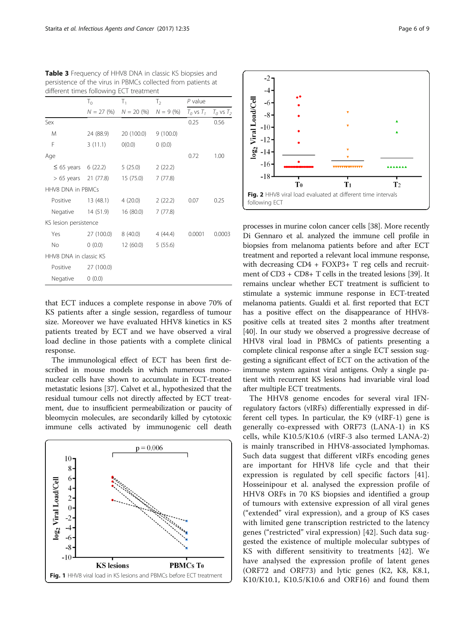|                          | $\mathsf{T}_0$                 | $\mathsf{T}_1$                        | $T_2$    | $P$ value      |                |
|--------------------------|--------------------------------|---------------------------------------|----------|----------------|----------------|
|                          |                                | $N = 27$ (%) $N = 20$ (%) $N = 9$ (%) |          | $T_0$ vs $T_1$ | $T_0$ vs $T_2$ |
| Sex                      |                                |                                       |          | 0.25           | 0.56           |
| M                        | 24 (88.9)                      | 20 (100.0)                            | 9(100.0) |                |                |
| F                        | 3(11.1)                        | O(0.0)                                | 0(0.0)   |                |                |
| Age                      |                                |                                       |          | 0.72           | 1.00           |
| $\leq$ 65 years 6 (22.2) |                                | 5 (25.0)                              | 2(22.2)  |                |                |
|                          | > 65 years 21 (77.8) 15 (75.0) |                                       | 7(77.8)  |                |                |
| HHV8 DNA in PBMCs        |                                |                                       |          |                |                |
| Positive                 | 13 (48.1)                      | 4 (20.0)                              | 2(22.2)  | 0.07           | 0.25           |
|                          | Negative 14 (51.9)             | 16 (80.0)                             | 7(77.8)  |                |                |
| KS lesion persistence    |                                |                                       |          |                |                |
| Yes                      | 27 (100.0)                     | 8 (40.0)                              | 4 (44.4) | 0.0001         | 0.0003         |
| <b>No</b>                | 0(0.0)                         | 12 (60.0)                             | 5(55.6)  |                |                |
| HHV8 DNA in classic KS   |                                |                                       |          |                |                |
| Positive                 | 27 (100.0)                     |                                       |          |                |                |
| Negative                 | 0(0.0)                         |                                       |          |                |                |

<span id="page-5-0"></span>Table 3 Frequency of HHV8 DNA in classic KS biopsies and persistence of the virus in PBMCs collected from patients at different times following ECT treatment

that ECT induces a complete response in above 70% of KS patients after a single session, regardless of tumour size. Moreover we have evaluated HHV8 kinetics in KS patients treated by ECT and we have observed a viral load decline in those patients with a complete clinical response.

The immunological effect of ECT has been first described in mouse models in which numerous mononuclear cells have shown to accumulate in ECT-treated metastatic lesions [[37](#page-8-0)]. Calvet et al., hypothesized that the residual tumour cells not directly affected by ECT treatment, due to insufficient permeabilization or paucity of bleomycin molecules, are secondarily killed by cytotoxic immune cells activated by immunogenic cell death





processes in murine colon cancer cells [\[38](#page-8-0)]. More recently Di Gennaro et al. analyzed the immune cell profile in biopsies from melanoma patients before and after ECT treatment and reported a relevant local immune response, with decreasing CD4 + FOXP3+ T reg cells and recruitment of CD3 + CD8+ T cells in the treated lesions [[39](#page-8-0)]. It remains unclear whether ECT treatment is sufficient to stimulate a systemic immune response in ECT-treated melanoma patients. Gualdi et al. first reported that ECT has a positive effect on the disappearance of HHV8 positive cells at treated sites 2 months after treatment [[40](#page-8-0)]. In our study we observed a progressive decrease of HHV8 viral load in PBMCs of patients presenting a complete clinical response after a single ECT session suggesting a significant effect of ECT on the activation of the immune system against viral antigens. Only a single patient with recurrent KS lesions had invariable viral load after multiple ECT treatments.

The HHV8 genome encodes for several viral IFNregulatory factors (vIRFs) differentially expressed in different cell types. In particular, the K9 (vIRF-1) gene is generally co-expressed with ORF73 (LANA-1) in KS cells, while K10.5/K10.6 (vIRF-3 also termed LANA-2) is mainly transcribed in HHV8-associated lymphomas. Such data suggest that different vIRFs encoding genes are important for HHV8 life cycle and that their expression is regulated by cell specific factors [\[41](#page-8-0)]. Hosseinipour et al. analysed the expression profile of HHV8 ORFs in 70 KS biopsies and identified a group of tumours with extensive expression of all viral genes ("extended" viral expression), and a group of KS cases with limited gene transcription restricted to the latency genes ("restricted" viral expression) [\[42](#page-8-0)]. Such data suggested the existence of multiple molecular subtypes of KS with different sensitivity to treatments [[42\]](#page-8-0). We have analysed the expression profile of latent genes (ORF72 and ORF73) and lytic genes (K2, K8, K8.1, K10/K10.1, K10.5/K10.6 and ORF16) and found them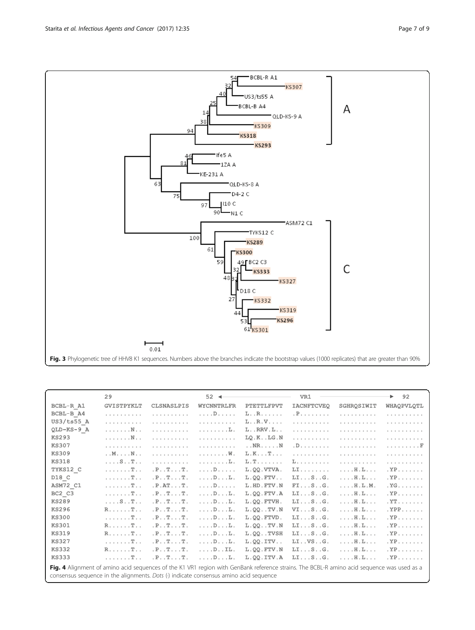$0.01$ 

44

53 61 KS301

BCBL-R A1

US3/ts55 A BCBL-B A4

 $Ks309$ 

 $Ks293$ 

TYKS12 C

**KS333** 

**KS332** 

**KS289** 

9 BC2 C3

**KS300** 

D18 C

**KS318** 

QLD-KS-8 A  $D4-2C$ 110 C

 $Ks307$ 

ASM72 C1

 $KS327$ 

KS319

KS296

 $\neg$  QLD-KS-9 A

A

 $\mathsf C$ 

 $54$ 

lfe5 A  $-12A$  A

 $\overline{90} - N1C$ 

KE-231 A

97

61

59

48

27

100

<span id="page-6-0"></span>94

61

| Fig. 3 Phylogenetic tree of HHV8 K1 sequences. Numbers above the branches indicate the bootstrap values (1000 replicates) that are greater than 90% |  |  |
|-----------------------------------------------------------------------------------------------------------------------------------------------------|--|--|
|                                                                                                                                                     |  |  |

|                                                                                                                                                                                                                                     | 29                             |                                                 | $52 -$                    |                          | VR1               |                               | 92<br>▶                   |
|-------------------------------------------------------------------------------------------------------------------------------------------------------------------------------------------------------------------------------------|--------------------------------|-------------------------------------------------|---------------------------|--------------------------|-------------------|-------------------------------|---------------------------|
| BCBL-R A1                                                                                                                                                                                                                           | <b>GVISTPYKLT</b>              | <b>CLSNASLPIS</b>                               | <b>WYCNNTRLFR</b>         | <b>PTETTLFPVT</b>        | <b>IACNFTCVEQ</b> | SGHROSIWIT                    | WHAQPVLQTL                |
| BCBL-B A4                                                                                                                                                                                                                           | .                              | .                                               | $\ldots$ . $D$            | $L \ldots R$ .           | . P.              | .                             | .                         |
| US3/ts55 A                                                                                                                                                                                                                          | .                              | .                                               | .                         | $L \ldots R \ldots$      | .                 | .                             | .                         |
| QLD-KS-9 A                                                                                                                                                                                                                          | . N                            | .                                               | a da da da di Ilid        | $L \ldots RRV \ldots$    | .                 | .                             | .                         |
| <b>KS293</b>                                                                                                                                                                                                                        | . N                            | .                                               | .                         | $LO.K.$ . $LG.N$         | .                 | .                             | .                         |
| <b>KS307</b>                                                                                                                                                                                                                        | .                              | .                                               | .                         | $\ldots$ NR. $\ldots$ .N | . D.              | .                             | . F                       |
| <b>KS309</b>                                                                                                                                                                                                                        | $\ldots$ M $\ldots$ N $\ldots$ | .                                               | . W.                      | L.K. T.                  | .                 | .                             | .                         |
| <b>KS318</b>                                                                                                                                                                                                                        | $\ldots$ S. $T$ .              | .                                               | . L.                      | L.T.                     | L.                | .                             | .                         |
| TYKS12 C                                                                                                                                                                                                                            | $\ldots$ $T$                   | .P. . T. T.                                     | $\ldots$ D.               | L.QQ.VTVA.               | $LI$              | $\ldots$ $H.$ $L$             | $,YP$                     |
| D18 C                                                                                                                                                                                                                               | $\ldots$ $T$                   | .P. . T. T.                                     | $\ldots$ D. $\ldots$ L.   | $L.QQ.FTV.$ .            | LISG.             | $\ldots$ $H.$ Let $\ldots$    | $YP$ .                    |
| ASM72 C1                                                                                                                                                                                                                            | $\ldots$ $T$                   | .P.AT. T.                                       | 1.1.1D1.1.1.1             | L.HD.FTV.N               | FISG.             | $\ldots$ $H.L.M.$             | $YG$ .                    |
| BC2 C3                                                                                                                                                                                                                              | $\ldots$ $T$                   | P. P. T. T. T. T.                               | $\ldots$ D. $\ldots$ L.   | L.QQ.FTV.A               | LISG.             | $\ldots$ $H$ . $L$            | $YP$ .                    |
| <b>KS289</b>                                                                                                                                                                                                                        | $\ldots$ S.T.                  | $\cdot$ P. $\cdot$ T. $\cdot$ . T.              | $\ldots$ D. $\ldots$ L.   | L.OO.FTVH.               | LISG.             | $\ldots$ $H$ . $L$ . $\ldots$ | $\mathbf{X}^{\mathbf{T}}$ |
| <b>KS296</b>                                                                                                                                                                                                                        | $R$ $T$                        | .P. . T. T.                                     | $\ldots$ D. $\ldots$ L.   | L.QQ. TV.N               | VISG.             | $\ldots$ $H$ . $L$ . $\ldots$ | $YPP$ .                   |
| <b>KS300</b>                                                                                                                                                                                                                        | $\ldots$ $T$                   | .P. . T. T.                                     | $\ldots$ . $D \ldots L$ . | L.00.FTVD.               | LISG.             | $\ldots$ . H.L. $\ldots$      | $,YP$                     |
| <b>KS301</b>                                                                                                                                                                                                                        | $R$ $T$                        | P. T. T. T. T.                                  | $\ldots$ . $D \ldots L$ . | $L.QQ.$ . TV.N           | LISG.             | $\ldots$ $H.$ $L.$ $\ldots$   | $. YP$                    |
| <b>KS319</b>                                                                                                                                                                                                                        | $R$ $T$                        | .P. . T. T.                                     | $\ldots$ D. $\ldots$ L.   | $L.QQ.$ TVSH             | LISG.             | $\ldots$ $H.$ $L$             | $. YP$                    |
| <b>KS327</b>                                                                                                                                                                                                                        | $\ldots$ . $T$ . .             | $\cdot$ . P $\cdot$ $\cdot$ T $\cdot$ T $\cdot$ | $\ldots$ D. $\ldots$ L.   | $L. QQ. ITV.$ .          | LI. . VS. .G.     | $\ldots$ $H.$ $L$             | $. YP$                    |
| <b>KS332</b>                                                                                                                                                                                                                        | $R$ $T$                        | .P. . T. T.                                     | $\ldots$ . $D \ldots$ IL. | L.QQ.FTV.N               | LISG.             | $\ldots$ $H.$ $L$             | $. YP$                    |
| <b>KS333</b>                                                                                                                                                                                                                        | $\ldots \ldots \mathbb{T}$     | $\cdot$ . P $\cdot$ . T $\cdot$ .               | $\ldots$ . D. $\ldots$ L. | $L.00.1$ TV.A            | $LI$ $S$ $G$ .    | $\ldots$ . $H$ . $L$          | $. YP$                    |
| Fig. 4 Alignment of amino acid sequences of the K1 VR1 region with GenBank reference strains. The BCBL-R amino acid sequence was used as a<br>consensus sequence in the alignments. Dots (.) indicate consensus amino acid sequence |                                |                                                 |                           |                          |                   |                               |                           |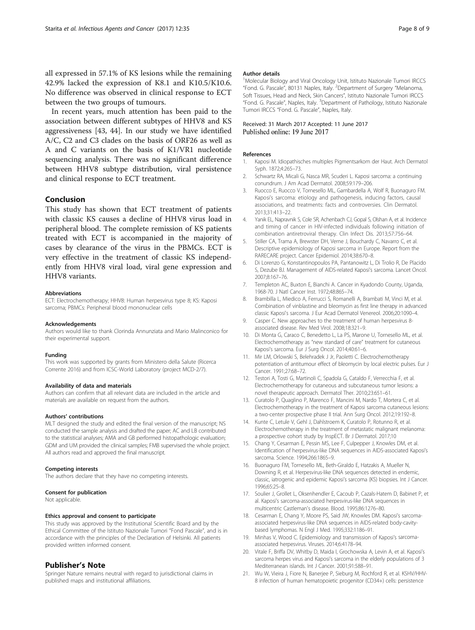<span id="page-7-0"></span>all expressed in 57.1% of KS lesions while the remaining 42.9% lacked the expression of K8.1 and K10.5/K10.6. No difference was observed in clinical response to ECT between the two groups of tumours.

In recent years, much attention has been paid to the association between different subtypes of HHV8 and KS aggressiveness [\[43](#page-8-0), [44](#page-8-0)]. In our study we have identified A/C, C2 and C3 clades on the basis of ORF26 as well as A and C variants on the basis of K1/VR1 nucleotide sequencing analysis. There was no significant difference between HHV8 subtype distribution, viral persistence and clinical response to ECT treatment.

#### Conclusion

This study has shown that ECT treatment of patients with classic KS causes a decline of HHV8 virus load in peripheral blood. The complete remission of KS patients treated with ECT is accompanied in the majority of cases by clearance of the virus in the PBMCs. ECT is very effective in the treatment of classic KS independently from HHV8 viral load, viral gene expression and HHV8 variants.

#### Abbreviations

ECT: Electrochemotherapy; HHV8: Human herpesvirus type 8; KS: Kaposi sarcoma; PBMCs: Peripheral blood mononuclear cells

#### Acknowledgements

Authors would like to thank Clorinda Annunziata and Mario Malinconico for their experimental support.

#### Funding

This work was supported by grants from Ministero della Salute (Ricerca Corrente 2016) and from ICSC-World Laboratory (project MCD-2/7).

#### Availability of data and materials

Authors can confirm that all relevant data are included in the article and materials are available on request from the authors.

#### Authors' contributions

MLT designed the study and edited the final version of the manuscript; NS conducted the sample analysis and drafted the paper; AC and LB contributed to the statistical analyses; AMA and GB performed histopathologic evaluation; GDM and UM provided the clinical samples; FMB supervised the whole project. All authors read and approved the final manuscript.

#### Competing interests

The authors declare that they have no competing interests.

#### Consent for publication

Not applicable.

#### Ethics approval and consent to participate

This study was approved by the Institutional Scientific Board and by the Ethical Committee of the Istituto Nazionale Tumori "Fond Pascale", and is in accordance with the principles of the Declaration of Helsinki. All patients provided written informed consent.

#### Publisher's Note

Springer Nature remains neutral with regard to jurisdictional claims in published maps and institutional affiliations.

<sup>1</sup>Molecular Biology and Viral Oncology Unit, Istituto Nazionale Tumori IRCCS "Fond. G. Pascale", 80131 Naples, Italy. <sup>2</sup> Department of Surgery "Melanoma, Soft Tissues, Head and Neck, Skin Cancers", Istituto Nazionale Tumori IRCCS "Fond. G. Pascale", Naples, Italy. <sup>3</sup>Department of Pathology, Istituto Nazionale Tumori IRCCS "Fond. G. Pascale", Naples, Italy.

#### Received: 31 March 2017 Accepted: 11 June 2017 Published online: 19 June 2017

#### References

Author details

- 1. Kaposi M. Idiopathisches multiples Pigmentsarkom der Haut. Arch Dermatol Syph. 1872;4:265–73.
- 2. Schwartz RA, Micali G, Nasca MR, Scuderi L. Kaposi sarcoma: a continuing conundrum. J Am Acad Dermatol. 2008;59:179–206.
- 3. Ruocco E, Ruocco V, Tornesello ML, Gambardella A, Wolf R, Buonaguro FM. Kaposi's sarcoma: etiology and pathogenesis, inducing factors, causal associations, and treatments: facts and controversies. Clin Dermatol. 2013;31:413–22.
- 4. Yanik EL, Napravnik S, Cole SR, Achenbach CJ, Gopal S, Olshan A, et al. Incidence and timing of cancer in HIV-infected individuals following initiation of combination antiretroviral therapy. Clin Infect Dis. 2013;57:756–64.
- 5. Stiller CA, Trama A, Brewster DH, Verne J, Bouchardy C, Navarro C, et al. Descriptive epidemiology of Kaposi sarcoma in Europe. Report from the RARECARE project. Cancer Epidemiol. 2014;38:670–8.
- 6. Di Lorenzo G, Konstantinopoulos PA, Pantanowitz L, Di Trolio R, De Placido S, Dezube BJ. Management of AIDS-related Kaposi's sarcoma. Lancet Oncol. 2007;8:167–76.
- 7. Templeton AC, Buxton E, Bianchi A. Cancer in Kyadondo County, Uganda, 1968-70. J Natl Cancer Inst. 1972;48:865–74.
- 8. Brambilla L, Miedico A, Ferrucci S, Romanelli A, Brambati M, Vinci M, et al. Combination of vinblastine and bleomycin as first line therapy in advanced classic Kaposi's sarcoma. J Eur Acad Dermatol Venereol. 2006;20:1090–4.
- 9. Casper C. New approaches to the treatment of human herpesvirus 8 associated disease. Rev Med Virol. 2008;18:321–9.
- 10. Di Monta G, Caraco C, Benedetto L, La PS, Marone U, Tornesello ML, et al. Electrochemotherapy as "new standard of care" treatment for cutaneous Kaposi's sarcoma. Eur J Surg Oncol. 2014;40:61–6.
- 11. Mir LM, Orlowski S, Belehradek J Jr, Paoletti C. Electrochemotherapy potentiation of antitumour effect of bleomycin by local electric pulses. Eur J Cancer. 1991;27:68–72.
- 12. Testori A, Tosti G, Martinoli C, Spadola G, Cataldo F, Verrecchia F, et al. Electrochemotherapy for cutaneous and subcutaneous tumor lesions: a novel therapeutic approach. Dermatol Ther. 2010;23:651–61.
- 13. Curatolo P, Quaglino P, Marenco F, Mancini M, Nardo T, Mortera C, et al. Electrochemotherapy in the treatment of Kaposi sarcoma cutaneous lesions: a two-center prospective phase II trial. Ann Surg Oncol. 2012;19:192–8.
- 14. Kunte C, Letule V, Gehl J, Dahlstroem K, Curatolo P, Rotunno R, et al. Electrochemotherapy in the treatment of metastatic malignant melanoma: a prospective cohort study by InspECT. Br J Dermatol. 2017;10
- 15. Chang Y, Cesarman E, Pessin MS, Lee F, Culpepper J, Knowles DM, et al. Identification of herpesvirus-like DNA sequences in AIDS-associated Kaposi's sarcoma. Science. 1994;266:1865–9.
- 16. Buonaguro FM, Tornesello ML, Beth-Giraldo E, Hatzakis A, Mueller N, Downing R, et al. Herpesvirus-like DNA sequences detected in endemic, classic, iatrogenic and epidemic Kaposi's sarcoma (KS) biopsies. Int J Cancer. 1996;65:25–8.
- 17. Soulier J, Grollet L, Oksenhendler E, Cacoub P, Cazals-Hatem D, Babinet P, et al. Kaposi's sarcoma-associated herpesvirus-like DNA sequences in multicentric Castleman's disease. Blood. 1995;86:1276–80.
- 18. Cesarman E, Chang Y, Moore PS, Said JW, Knowles DM. Kaposi's sarcomaassociated herpesvirus-like DNA sequences in AIDS-related body-cavitybased lymphomas. N Engl J Med. 1995;332:1186–91.
- 19. Minhas V, Wood C. Epidemiology and transmission of Kaposi's sarcomaassociated herpesvirus. Viruses. 2014;6:4178–94.
- 20. Vitale F, Briffa DV, Whitby D, Maida I, Grochowska A, Levin A, et al. Kaposi's sarcoma herpes virus and Kaposi's sarcoma in the elderly populations of 3 Mediterranean islands. Int J Cancer. 2001;91:588–91.
- 21. Wu W, Vieira J, Fiore N, Banerjee P, Sieburg M, Rochford R, et al. KSHV/HHV-8 infection of human hematopoietic progenitor (CD34+) cells: persistence